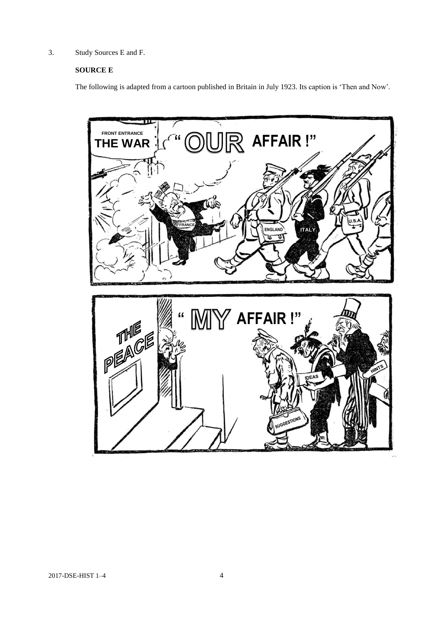3. Study Sources E and F.

## **SOURCE E**

The following is adapted from a cartoon published in Britain in July 1923. Its caption is 'Then and Now'.